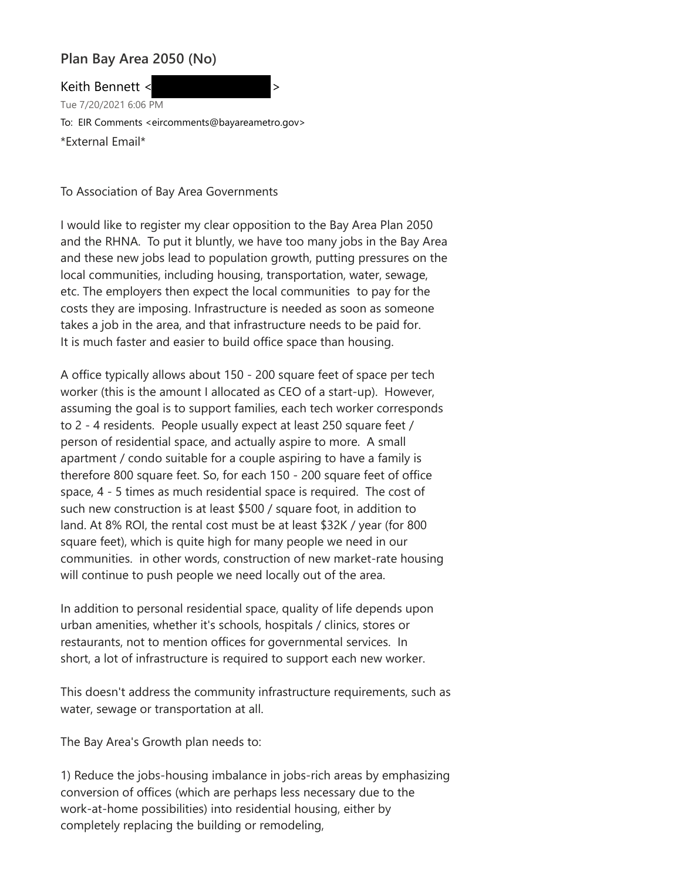## **Plan Bay Area 2050 (No)**

Keith Bennett <  $\sim$ Tue 7/20/2021 6:06 PM To: EIR Comments <eircomments@bayareametro.gov> \*External Email\*

To Association of Bay Area Governments

I would like to register my clear opposition to the Bay Area Plan 2050 and the RHNA. To put it bluntly, we have too many jobs in the Bay Area and these new jobs lead to population growth, putting pressures on the local communities, including housing, transportation, water, sewage, etc. The employers then expect the local communities to pay for the costs they are imposing. Infrastructure is needed as soon as someone takes a job in the area, and that infrastructure needs to be paid for. It is much faster and easier to build office space than housing.

A office typically allows about 150 - 200 square feet of space per tech worker (this is the amount I allocated as CEO of a start-up). However, assuming the goal is to support families, each tech worker corresponds to 2 - 4 residents. People usually expect at least 250 square feet / person of residential space, and actually aspire to more. A small apartment / condo suitable for a couple aspiring to have a family is therefore 800 square feet. So, for each 150 - 200 square feet of office space, 4 - 5 times as much residential space is required. The cost of such new construction is at least \$500 / square foot, in addition to land. At 8% ROI, the rental cost must be at least \$32K / year (for 800 square feet), which is quite high for many people we need in our communities. in other words, construction of new market-rate housing will continue to push people we need locally out of the area.

In addition to personal residential space, quality of life depends upon urban amenities, whether it's schools, hospitals / clinics, stores or restaurants, not to mention offices for governmental services. In short, a lot of infrastructure is required to support each new worker.

This doesn't address the community infrastructure requirements, such as water, sewage or transportation at all.

The Bay Area's Growth plan needs to:

1) Reduce the jobs-housing imbalance in jobs-rich areas by emphasizing conversion of offices (which are perhaps less necessary due to the work-at-home possibilities) into residential housing, either by completely replacing the building or remodeling,